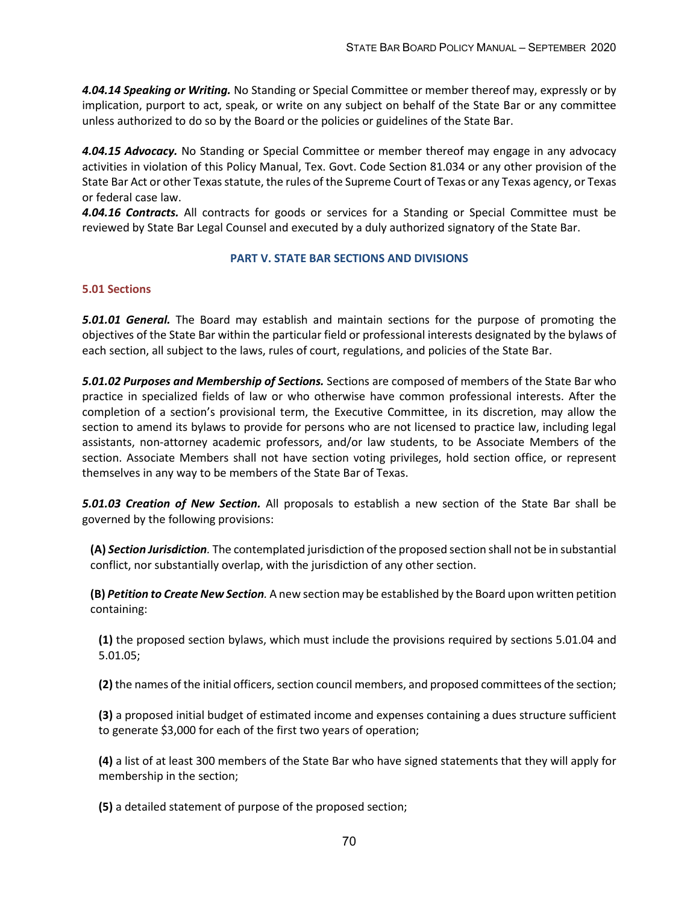*4.04.14 Speaking or Writing.* No Standing or Special Committee or member thereof may, expressly or by implication, purport to act, speak, or write on any subject on behalf of the State Bar or any committee unless authorized to do so by the Board or the policies or guidelines of the State Bar.

*4.04.15 Advocacy.* No Standing or Special Committee or member thereof may engage in any advocacy activities in violation of this Policy Manual, Tex. Govt. Code Section 81.034 or any other provision of the State Bar Act or other Texas statute, the rules of the Supreme Court of Texas or any Texas agency, or Texas or federal case law.

*4.04.16 Contracts.* All contracts for goods or services for a Standing or Special Committee must be reviewed by State Bar Legal Counsel and executed by a duly authorized signatory of the State Bar.

# **PART V. STATE BAR SECTIONS AND DIVISIONS**

# **5.01 Sections**

*5.01.01 General.* The Board may establish and maintain sections for the purpose of promoting the objectives of the State Bar within the particular field or professional interests designated by the bylaws of each section, all subject to the laws, rules of court, regulations, and policies of the State Bar.

*5.01.02 Purposes and Membership of Sections.* Sections are composed of members of the State Bar who practice in specialized fields of law or who otherwise have common professional interests. After the completion of a section's provisional term, the Executive Committee, in its discretion, may allow the section to amend its bylaws to provide for persons who are not licensed to practice law, including legal assistants, non-attorney academic professors, and/or law students, to be Associate Members of the section. Associate Members shall not have section voting privileges, hold section office, or represent themselves in any way to be members of the State Bar of Texas.

*5.01.03 Creation of New Section.* All proposals to establish a new section of the State Bar shall be governed by the following provisions:

**(A)** *Section Jurisdiction.* The contemplated jurisdiction of the proposed section shall not be in substantial conflict, nor substantially overlap, with the jurisdiction of any other section.

**(B)** *Petition to Create New Section.* A new section may be established by the Board upon written petition containing:

**(1)** the proposed section bylaws, which must include the provisions required by sections 5.01.04 and 5.01.05;

**(2)** the names of the initial officers, section council members, and proposed committees of the section;

**(3)** a proposed initial budget of estimated income and expenses containing a dues structure sufficient to generate \$3,000 for each of the first two years of operation;

**(4)** a list of at least 300 members of the State Bar who have signed statements that they will apply for membership in the section;

**(5)** a detailed statement of purpose of the proposed section;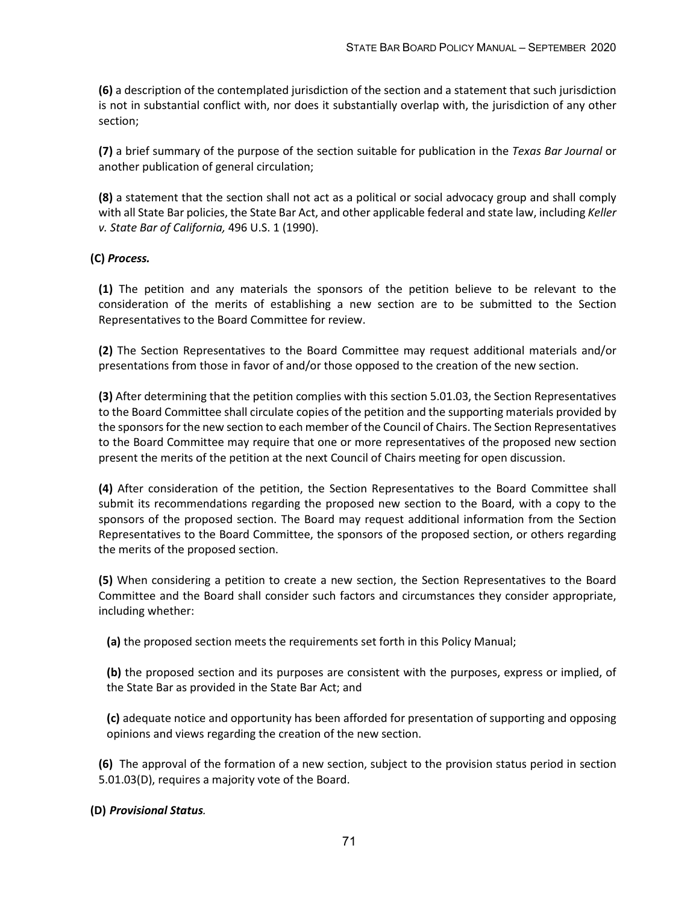**(6)** a description of the contemplated jurisdiction of the section and a statement that such jurisdiction is not in substantial conflict with, nor does it substantially overlap with, the jurisdiction of any other section;

**(7)** a brief summary of the purpose of the section suitable for publication in the *Texas Bar Journal* or another publication of general circulation;

**(8)** a statement that the section shall not act as a political or social advocacy group and shall comply with all State Bar policies, the State Bar Act, and other applicable federal and state law, including *Keller v. State Bar of California,* 496 U.S. 1 (1990).

**(C)** *Process.*

**(1)** The petition and any materials the sponsors of the petition believe to be relevant to the consideration of the merits of establishing a new section are to be submitted to the Section Representatives to the Board Committee for review.

**(2)** The Section Representatives to the Board Committee may request additional materials and/or presentations from those in favor of and/or those opposed to the creation of the new section.

**(3)** After determining that the petition complies with this section 5.01.03, the Section Representatives to the Board Committee shall circulate copies of the petition and the supporting materials provided by the sponsors for the new section to each member of the Council of Chairs. The Section Representatives to the Board Committee may require that one or more representatives of the proposed new section present the merits of the petition at the next Council of Chairs meeting for open discussion.

**(4)** After consideration of the petition, the Section Representatives to the Board Committee shall submit its recommendations regarding the proposed new section to the Board, with a copy to the sponsors of the proposed section. The Board may request additional information from the Section Representatives to the Board Committee, the sponsors of the proposed section, or others regarding the merits of the proposed section.

**(5)** When considering a petition to create a new section, the Section Representatives to the Board Committee and the Board shall consider such factors and circumstances they consider appropriate, including whether:

**(a)** the proposed section meets the requirements set forth in this Policy Manual;

**(b)** the proposed section and its purposes are consistent with the purposes, express or implied, of the State Bar as provided in the State Bar Act; and

**(c)** adequate notice and opportunity has been afforded for presentation of supporting and opposing opinions and views regarding the creation of the new section.

**(6)** The approval of the formation of a new section, subject to the provision status period in section 5.01.03(D), requires a majority vote of the Board.

# **(D)** *Provisional Status.*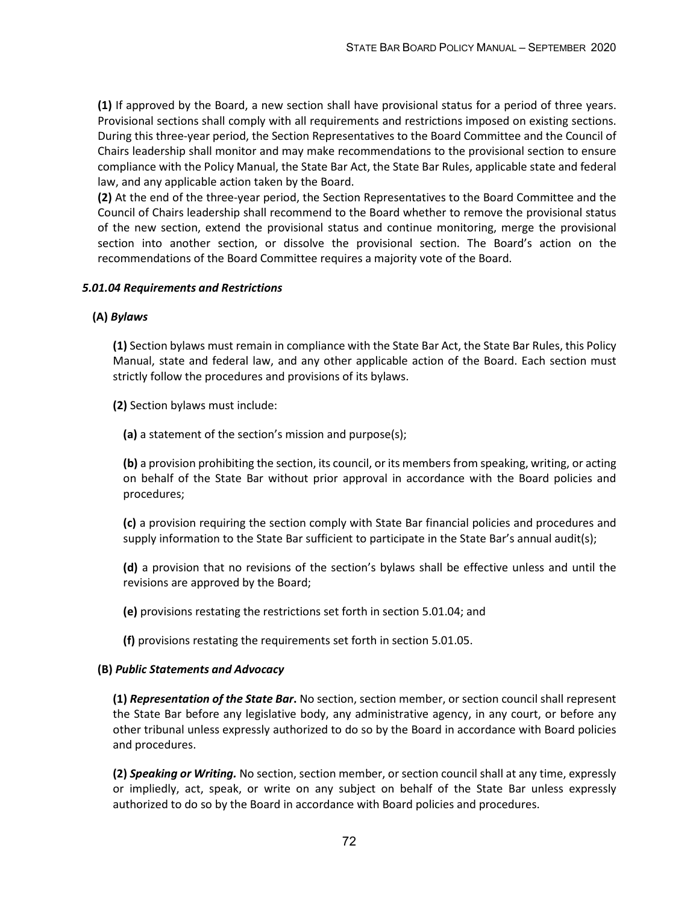**(1)** If approved by the Board, a new section shall have provisional status for a period of three years. Provisional sections shall comply with all requirements and restrictions imposed on existing sections. During this three-year period, the Section Representatives to the Board Committee and the Council of Chairs leadership shall monitor and may make recommendations to the provisional section to ensure compliance with the Policy Manual, the State Bar Act, the State Bar Rules, applicable state and federal law, and any applicable action taken by the Board.

**(2)** At the end of the three-year period, the Section Representatives to the Board Committee and the Council of Chairs leadership shall recommend to the Board whether to remove the provisional status of the new section, extend the provisional status and continue monitoring, merge the provisional section into another section, or dissolve the provisional section. The Board's action on the recommendations of the Board Committee requires a majority vote of the Board.

### *5.01.04 Requirements and Restrictions*

#### **(A)** *Bylaws*

**(1)** Section bylaws must remain in compliance with the State Bar Act, the State Bar Rules, this Policy Manual, state and federal law, and any other applicable action of the Board. Each section must strictly follow the procedures and provisions of its bylaws.

**(2)** Section bylaws must include:

**(a)** a statement of the section's mission and purpose(s);

**(b)** a provision prohibiting the section, its council, or its members from speaking, writing, or acting on behalf of the State Bar without prior approval in accordance with the Board policies and procedures;

**(c)** a provision requiring the section comply with State Bar financial policies and procedures and supply information to the State Bar sufficient to participate in the State Bar's annual audit(s);

**(d)** a provision that no revisions of the section's bylaws shall be effective unless and until the revisions are approved by the Board;

**(e)** provisions restating the restrictions set forth in section 5.01.04; and

**(f)** provisions restating the requirements set forth in section 5.01.05.

#### **(B)** *Public Statements and Advocacy*

**(1)** *Representation of the State Bar***.** No section, section member, or section council shall represent the State Bar before any legislative body, any administrative agency, in any court, or before any other tribunal unless expressly authorized to do so by the Board in accordance with Board policies and procedures.

**(2)** *Speaking or Writing.* No section, section member, or section council shall at any time, expressly or impliedly, act, speak, or write on any subject on behalf of the State Bar unless expressly authorized to do so by the Board in accordance with Board policies and procedures.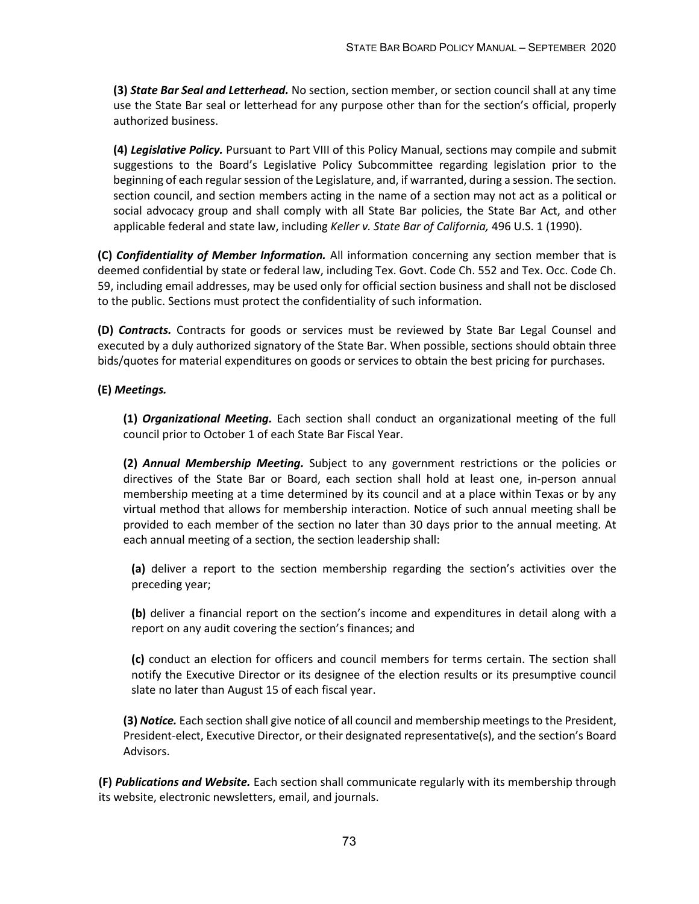**(3)** *State Bar Seal and Letterhead.* No section, section member, or section council shall at any time use the State Bar seal or letterhead for any purpose other than for the section's official, properly authorized business.

**(4)** *Legislative Policy.* Pursuant to Part VIII of this Policy Manual, sections may compile and submit suggestions to the Board's Legislative Policy Subcommittee regarding legislation prior to the beginning of each regular session of the Legislature, and, if warranted, during a session. The section. section council, and section members acting in the name of a section may not act as a political or social advocacy group and shall comply with all State Bar policies, the State Bar Act, and other applicable federal and state law, including *Keller v. State Bar of California,* 496 U.S. 1 (1990).

**(C)** *Confidentiality of Member Information.* All information concerning any section member that is deemed confidential by state or federal law, including Tex. Govt. Code Ch. 552 and Tex. Occ. Code Ch. 59, including email addresses, may be used only for official section business and shall not be disclosed to the public. Sections must protect the confidentiality of such information.

**(D)** *Contracts.* Contracts for goods or services must be reviewed by State Bar Legal Counsel and executed by a duly authorized signatory of the State Bar. When possible, sections should obtain three bids/quotes for material expenditures on goods or services to obtain the best pricing for purchases.

# **(E)** *Meetings.*

**(1)** *Organizational Meeting.* Each section shall conduct an organizational meeting of the full council prior to October 1 of each State Bar Fiscal Year.

**(2)** *Annual Membership Meeting.* Subject to any government restrictions or the policies or directives of the State Bar or Board, each section shall hold at least one, in-person annual membership meeting at a time determined by its council and at a place within Texas or by any virtual method that allows for membership interaction. Notice of such annual meeting shall be provided to each member of the section no later than 30 days prior to the annual meeting. At each annual meeting of a section, the section leadership shall:

**(a)** deliver a report to the section membership regarding the section's activities over the preceding year;

**(b)** deliver a financial report on the section's income and expenditures in detail along with a report on any audit covering the section's finances; and

**(c)** conduct an election for officers and council members for terms certain. The section shall notify the Executive Director or its designee of the election results or its presumptive council slate no later than August 15 of each fiscal year.

**(3)** *Notice.* Each section shall give notice of all council and membership meetings to the President, President-elect, Executive Director, or their designated representative(s), and the section's Board Advisors.

**(F)** *Publications and Website.* Each section shall communicate regularly with its membership through its website, electronic newsletters, email, and journals.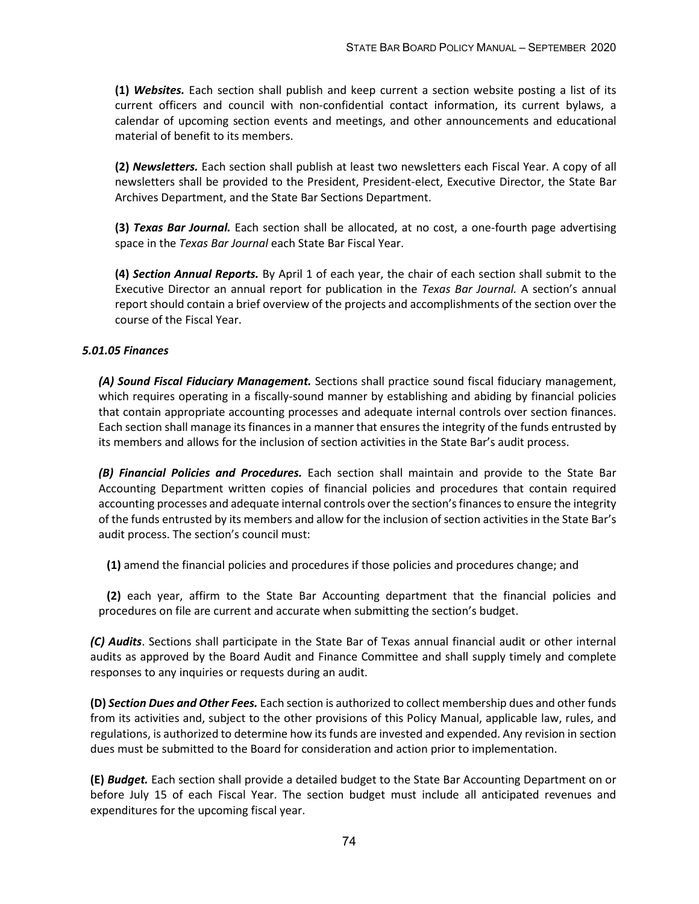**(1)** *Websites.* Each section shall publish and keep current a section website posting a list of its current officers and council with non-confidential contact information, its current bylaws, a calendar of upcoming section events and meetings, and other announcements and educational material of benefit to its members.

**(2)** *Newsletters.* Each section shall publish at least two newsletters each Fiscal Year. A copy of all newsletters shall be provided to the President, President-elect, Executive Director, the State Bar Archives Department, and the State Bar Sections Department.

**(3)** *Texas Bar Journal.* Each section shall be allocated, at no cost, a one-fourth page advertising space in the *Texas Bar Journal* each State Bar Fiscal Year.

**(4)** *Section Annual Reports.* By April 1 of each year, the chair of each section shall submit to the Executive Director an annual report for publication in the *Texas Bar Journal.* A section's annual report should contain a brief overview of the projects and accomplishments of the section over the course of the Fiscal Year.

# *5.01.05 Finances*

*(A) Sound Fiscal Fiduciary Management.* Sections shall practice sound fiscal fiduciary management, which requires operating in a fiscally-sound manner by establishing and abiding by financial policies that contain appropriate accounting processes and adequate internal controls over section finances. Each section shall manage its finances in a manner that ensures the integrity of the funds entrusted by its members and allows for the inclusion of section activities in the State Bar's audit process.

*(B) Financial Policies and Procedures.* Each section shall maintain and provide to the State Bar Accounting Department written copies of financial policies and procedures that contain required accounting processes and adequate internal controls over the section's finances to ensure the integrity of the funds entrusted by its members and allow for the inclusion of section activities in the State Bar's audit process. The section's council must:

**(1)** amend the financial policies and procedures if those policies and procedures change; and

**(2)** each year, affirm to the State Bar Accounting department that the financial policies and procedures on file are current and accurate when submitting the section's budget.

*(C) Audits*. Sections shall participate in the State Bar of Texas annual financial audit or other internal audits as approved by the Board Audit and Finance Committee and shall supply timely and complete responses to any inquiries or requests during an audit.

**(D)** *Section Dues and Other Fees.* Each section is authorized to collect membership dues and other funds from its activities and, subject to the other provisions of this Policy Manual, applicable law, rules, and regulations, is authorized to determine how its funds are invested and expended. Any revision in section dues must be submitted to the Board for consideration and action prior to implementation.

**(E)** *Budget.* Each section shall provide a detailed budget to the State Bar Accounting Department on or before July 15 of each Fiscal Year. The section budget must include all anticipated revenues and expenditures for the upcoming fiscal year.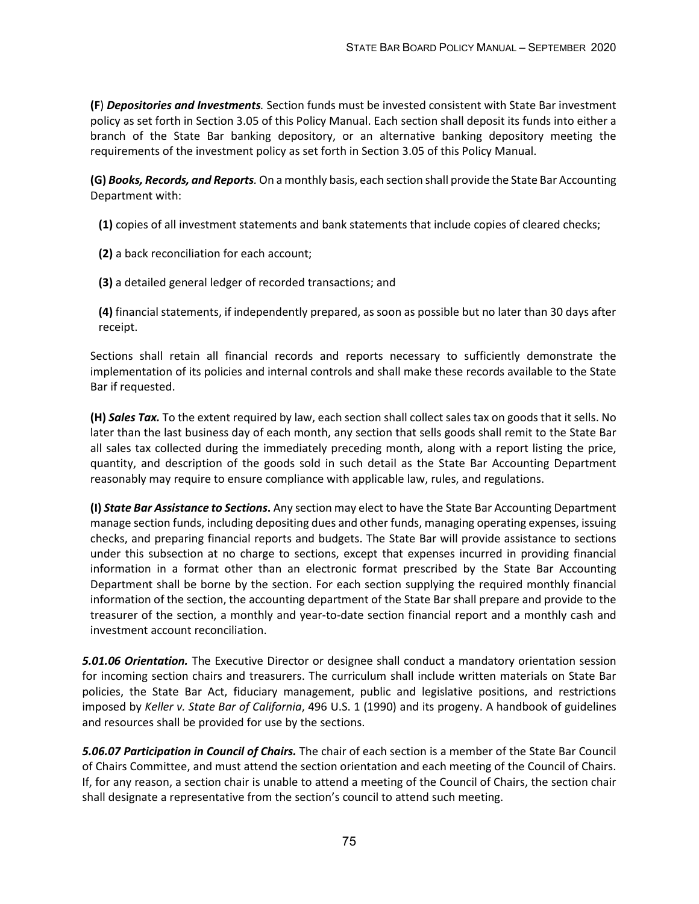**(F**) *Depositories and Investments.* Section funds must be invested consistent with State Bar investment policy as set forth in Section 3.05 of this Policy Manual. Each section shall deposit its funds into either a branch of the State Bar banking depository, or an alternative banking depository meeting the requirements of the investment policy as set forth in Section 3.05 of this Policy Manual.

**(G)** *Books, Records, and Reports.* On a monthly basis, each section shall provide the State Bar Accounting Department with:

**(1)** copies of all investment statements and bank statements that include copies of cleared checks;

**(2)** a back reconciliation for each account;

**(3)** a detailed general ledger of recorded transactions; and

**(4)** financial statements, if independently prepared, as soon as possible but no later than 30 days after receipt.

Sections shall retain all financial records and reports necessary to sufficiently demonstrate the implementation of its policies and internal controls and shall make these records available to the State Bar if requested.

**(H)** *Sales Tax.* To the extent required by law, each section shall collect sales tax on goods that it sells. No later than the last business day of each month, any section that sells goods shall remit to the State Bar all sales tax collected during the immediately preceding month, along with a report listing the price, quantity, and description of the goods sold in such detail as the State Bar Accounting Department reasonably may require to ensure compliance with applicable law, rules, and regulations.

**(I)** *State Bar Assistance to Sections***.** Any section may elect to have the State Bar Accounting Department manage section funds, including depositing dues and other funds, managing operating expenses, issuing checks, and preparing financial reports and budgets. The State Bar will provide assistance to sections under this subsection at no charge to sections, except that expenses incurred in providing financial information in a format other than an electronic format prescribed by the State Bar Accounting Department shall be borne by the section. For each section supplying the required monthly financial information of the section, the accounting department of the State Bar shall prepare and provide to the treasurer of the section, a monthly and year-to-date section financial report and a monthly cash and investment account reconciliation.

*5.01.06 Orientation.* The Executive Director or designee shall conduct a mandatory orientation session for incoming section chairs and treasurers. The curriculum shall include written materials on State Bar policies, the State Bar Act, fiduciary management, public and legislative positions, and restrictions imposed by *Keller v. State Bar of California*, 496 U.S. 1 (1990) and its progeny. A handbook of guidelines and resources shall be provided for use by the sections.

*5.06.07 Participation in Council of Chairs.* The chair of each section is a member of the State Bar Council of Chairs Committee, and must attend the section orientation and each meeting of the Council of Chairs. If, for any reason, a section chair is unable to attend a meeting of the Council of Chairs, the section chair shall designate a representative from the section's council to attend such meeting.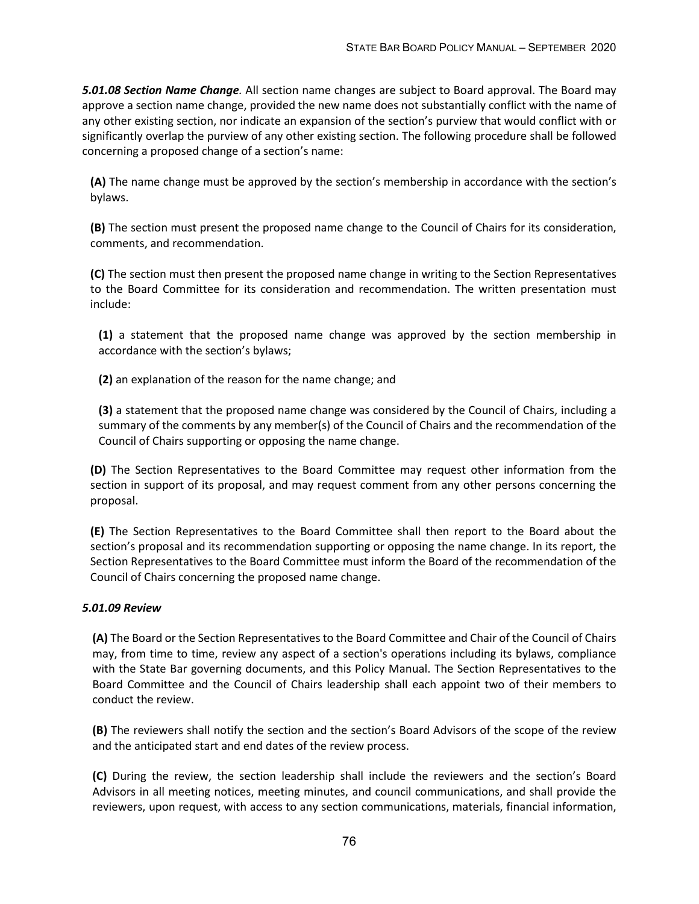*5.01.08 Section Name Change.* All section name changes are subject to Board approval. The Board may approve a section name change, provided the new name does not substantially conflict with the name of any other existing section, nor indicate an expansion of the section's purview that would conflict with or significantly overlap the purview of any other existing section. The following procedure shall be followed concerning a proposed change of a section's name:

**(A)** The name change must be approved by the section's membership in accordance with the section's bylaws.

**(B)** The section must present the proposed name change to the Council of Chairs for its consideration, comments, and recommendation.

**(C)** The section must then present the proposed name change in writing to the Section Representatives to the Board Committee for its consideration and recommendation. The written presentation must include:

**(1)** a statement that the proposed name change was approved by the section membership in accordance with the section's bylaws;

**(2)** an explanation of the reason for the name change; and

**(3)** a statement that the proposed name change was considered by the Council of Chairs, including a summary of the comments by any member(s) of the Council of Chairs and the recommendation of the Council of Chairs supporting or opposing the name change.

**(D)** The Section Representatives to the Board Committee may request other information from the section in support of its proposal, and may request comment from any other persons concerning the proposal.

**(E)** The Section Representatives to the Board Committee shall then report to the Board about the section's proposal and its recommendation supporting or opposing the name change. In its report, the Section Representatives to the Board Committee must inform the Board of the recommendation of the Council of Chairs concerning the proposed name change.

### *5.01.09 Review*

**(A)** The Board or the Section Representatives to the Board Committee and Chair of the Council of Chairs may, from time to time, review any aspect of a section's operations including its bylaws, compliance with the State Bar governing documents, and this Policy Manual. The Section Representatives to the Board Committee and the Council of Chairs leadership shall each appoint two of their members to conduct the review.

**(B)** The reviewers shall notify the section and the section's Board Advisors of the scope of the review and the anticipated start and end dates of the review process.

**(C)** During the review, the section leadership shall include the reviewers and the section's Board Advisors in all meeting notices, meeting minutes, and council communications, and shall provide the reviewers, upon request, with access to any section communications, materials, financial information,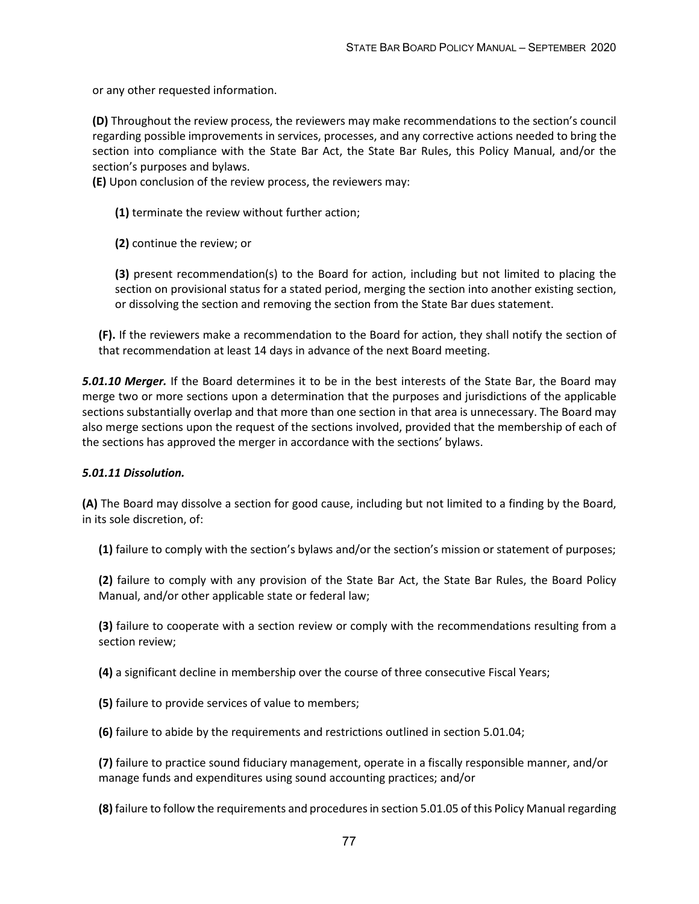or any other requested information.

**(D)** Throughout the review process, the reviewers may make recommendations to the section's council regarding possible improvements in services, processes, and any corrective actions needed to bring the section into compliance with the State Bar Act, the State Bar Rules, this Policy Manual, and/or the section's purposes and bylaws.

**(E)** Upon conclusion of the review process, the reviewers may:

**(1)** terminate the review without further action;

**(2)** continue the review; or

**(3)** present recommendation(s) to the Board for action, including but not limited to placing the section on provisional status for a stated period, merging the section into another existing section, or dissolving the section and removing the section from the State Bar dues statement.

**(F).** If the reviewers make a recommendation to the Board for action, they shall notify the section of that recommendation at least 14 days in advance of the next Board meeting.

*5.01.10 Merger.* If the Board determines it to be in the best interests of the State Bar, the Board may merge two or more sections upon a determination that the purposes and jurisdictions of the applicable sections substantially overlap and that more than one section in that area is unnecessary. The Board may also merge sections upon the request of the sections involved, provided that the membership of each of the sections has approved the merger in accordance with the sections' bylaws.

### *5.01.11 Dissolution.*

**(A)** The Board may dissolve a section for good cause, including but not limited to a finding by the Board, in its sole discretion, of:

**(1)** failure to comply with the section's bylaws and/or the section's mission or statement of purposes;

**(2)** failure to comply with any provision of the State Bar Act, the State Bar Rules, the Board Policy Manual, and/or other applicable state or federal law;

**(3)** failure to cooperate with a section review or comply with the recommendations resulting from a section review;

**(4)** a significant decline in membership over the course of three consecutive Fiscal Years;

**(5)** failure to provide services of value to members;

**(6)** failure to abide by the requirements and restrictions outlined in section 5.01.04;

**(7)** failure to practice sound fiduciary management, operate in a fiscally responsible manner, and/or manage funds and expenditures using sound accounting practices; and/or

**(8)** failure to follow the requirements and procedures in section 5.01.05 of this Policy Manual regarding